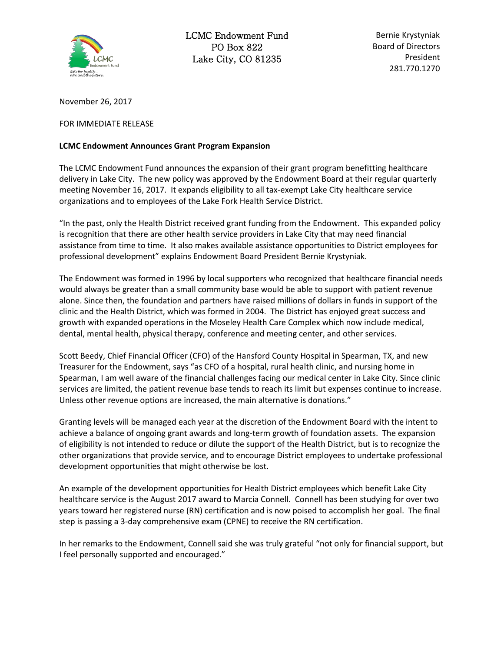

LCMC Endowment Fund PO Box 822 Lake City, CO 81235

Bernie Krystyniak Board of Directors President 281.770.1270

November 26, 2017

## FOR IMMEDIATE RELEASE

## **LCMC Endowment Announces Grant Program Expansion**

The LCMC Endowment Fund announces the expansion of their grant program benefitting healthcare delivery in Lake City. The new policy was approved by the Endowment Board at their regular quarterly meeting November 16, 2017. It expands eligibility to all tax-exempt Lake City healthcare service organizations and to employees of the Lake Fork Health Service District.

"In the past, only the Health District received grant funding from the Endowment. This expanded policy is recognition that there are other health service providers in Lake City that may need financial assistance from time to time. It also makes available assistance opportunities to District employees for professional development" explains Endowment Board President Bernie Krystyniak.

The Endowment was formed in 1996 by local supporters who recognized that healthcare financial needs would always be greater than a small community base would be able to support with patient revenue alone. Since then, the foundation and partners have raised millions of dollars in funds in support of the clinic and the Health District, which was formed in 2004. The District has enjoyed great success and growth with expanded operations in the Moseley Health Care Complex which now include medical, dental, mental health, physical therapy, conference and meeting center, and other services.

Scott Beedy, Chief Financial Officer (CFO) of the Hansford County Hospital in Spearman, TX, and new Treasurer for the Endowment, says "as CFO of a hospital, rural health clinic, and nursing home in Spearman, I am well aware of the financial challenges facing our medical center in Lake City. Since clinic services are limited, the patient revenue base tends to reach its limit but expenses continue to increase. Unless other revenue options are increased, the main alternative is donations."

Granting levels will be managed each year at the discretion of the Endowment Board with the intent to achieve a balance of ongoing grant awards and long-term growth of foundation assets. The expansion of eligibility is not intended to reduce or dilute the support of the Health District, but is to recognize the other organizations that provide service, and to encourage District employees to undertake professional development opportunities that might otherwise be lost.

An example of the development opportunities for Health District employees which benefit Lake City healthcare service is the August 2017 award to Marcia Connell. Connell has been studying for over two years toward her registered nurse (RN) certification and is now poised to accomplish her goal. The final step is passing a 3-day comprehensive exam (CPNE) to receive the RN certification.

In her remarks to the Endowment, Connell said she was truly grateful "not only for financial support, but I feel personally supported and encouraged."